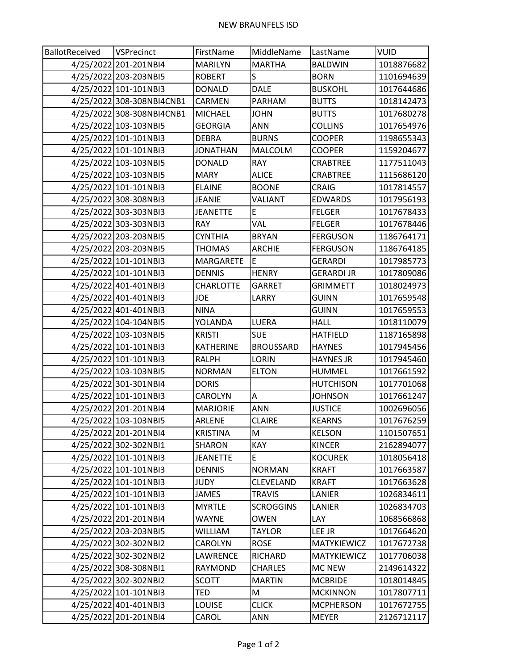| BallotReceived | VSPrecinct                | FirstName        | MiddleName       | LastName          | <b>VUID</b> |
|----------------|---------------------------|------------------|------------------|-------------------|-------------|
|                | 4/25/2022 201-201NBI4     | <b>MARILYN</b>   | <b>MARTHA</b>    | <b>BALDWIN</b>    | 1018876682  |
|                | 4/25/2022 203-203NBI5     | <b>ROBERT</b>    | S                | <b>BORN</b>       | 1101694639  |
|                | 4/25/2022 101-101NBI3     | <b>DONALD</b>    | <b>DALE</b>      | <b>BUSKOHL</b>    | 1017644686  |
|                | 4/25/2022 308-308NBI4CNB1 | CARMEN           | <b>PARHAM</b>    | <b>BUTTS</b>      | 1018142473  |
|                | 4/25/2022 308-308NBI4CNB1 | <b>MICHAEL</b>   | <b>JOHN</b>      | <b>BUTTS</b>      | 1017680278  |
|                | 4/25/2022 103-103NBI5     | <b>GEORGIA</b>   | <b>ANN</b>       | <b>COLLINS</b>    | 1017654976  |
|                | 4/25/2022 101-101NBI3     | <b>DEBRA</b>     | <b>BURNS</b>     | <b>COOPER</b>     | 1198655343  |
|                | 4/25/2022 101-101NBI3     | <b>JONATHAN</b>  | <b>MALCOLM</b>   | <b>COOPER</b>     | 1159204677  |
|                | 4/25/2022 103-103NBI5     | DONALD           | <b>RAY</b>       | <b>CRABTREE</b>   | 1177511043  |
|                | 4/25/2022 103-103NBI5     | <b>MARY</b>      | <b>ALICE</b>     | CRABTREE          | 1115686120  |
|                | 4/25/2022 101-101NBI3     | <b>ELAINE</b>    | <b>BOONE</b>     | <b>CRAIG</b>      | 1017814557  |
|                | 4/25/2022 308-308NBI3     | <b>JEANIE</b>    | VALIANT          | <b>EDWARDS</b>    | 1017956193  |
|                | 4/25/2022 303-303NBI3     | <b>JEANETTE</b>  | E                | <b>FELGER</b>     | 1017678433  |
|                | 4/25/2022 303-303NBI3     | <b>RAY</b>       | VAL              | <b>FELGER</b>     | 1017678446  |
|                | 4/25/2022 203-203NBI5     | <b>CYNTHIA</b>   | <b>BRYAN</b>     | <b>FERGUSON</b>   | 1186764171  |
|                | 4/25/2022 203-203NBI5     | <b>THOMAS</b>    | <b>ARCHIE</b>    | <b>FERGUSON</b>   | 1186764185  |
|                | 4/25/2022 101-101NBI3     | <b>MARGARETE</b> | E                | <b>GERARDI</b>    | 1017985773  |
|                | 4/25/2022 101-101NBI3     | <b>DENNIS</b>    | <b>HENRY</b>     | <b>GERARDI JR</b> | 1017809086  |
|                | 4/25/2022 401-401NBI3     | <b>CHARLOTTE</b> | <b>GARRET</b>    | <b>GRIMMETT</b>   | 1018024973  |
|                | 4/25/2022 401-401NBI3     | JOE              | LARRY            | <b>GUINN</b>      | 1017659548  |
|                | 4/25/2022 401-401NBI3     | <b>NINA</b>      |                  | <b>GUINN</b>      | 1017659553  |
|                | 4/25/2022 104-104NBI5     | YOLANDA          | LUERA            | <b>HALL</b>       | 1018110079  |
|                | 4/25/2022 103-103NBI5     | <b>KRISTI</b>    | <b>SUE</b>       | <b>HATFIELD</b>   | 1187165898  |
|                | 4/25/2022 101-101NBI3     | <b>KATHERINE</b> | <b>BROUSSARD</b> | <b>HAYNES</b>     | 1017945456  |
|                | 4/25/2022 101-101NBI3     | <b>RALPH</b>     | <b>LORIN</b>     | <b>HAYNES JR</b>  | 1017945460  |
|                | 4/25/2022 103-103NBI5     | <b>NORMAN</b>    | <b>ELTON</b>     | <b>HUMMEL</b>     | 1017661592  |
|                | 4/25/2022 301-301NBI4     | <b>DORIS</b>     |                  | <b>HUTCHISON</b>  | 1017701068  |
|                | 4/25/2022 101-101NBI3     | CAROLYN          | Α                | <b>JOHNSON</b>    | 1017661247  |
|                | 4/25/2022 201-201NBI4     | <b>MARJORIE</b>  | <b>ANN</b>       | <b>JUSTICE</b>    | 1002696056  |
|                | 4/25/2022 103-103NBI5     | ARLENE           | <b>CLAIRE</b>    | <b>KEARNS</b>     | 1017676259  |
|                | 4/25/2022 201-201NBI4     | <b>KRISTINA</b>  | M                | <b>KELSON</b>     | 1101507651  |
|                | 4/25/2022 302-302NBI1     | SHARON           | KAY              | <b>KINCER</b>     | 2162894077  |
|                | 4/25/2022 101-101NBI3     | <b>JEANETTE</b>  | E                | <b>KOCUREK</b>    | 1018056418  |
|                | 4/25/2022 101-101NBI3     | <b>DENNIS</b>    | <b>NORMAN</b>    | <b>KRAFT</b>      | 1017663587  |
|                | 4/25/2022 101-101NBI3     | JUDY             | CLEVELAND        | <b>KRAFT</b>      | 1017663628  |
|                | 4/25/2022 101-101NBI3     | JAMES            | <b>TRAVIS</b>    | LANIER            | 1026834611  |
|                | 4/25/2022 101-101NBI3     | <b>MYRTLE</b>    | <b>SCROGGINS</b> | LANIER            | 1026834703  |
|                | 4/25/2022 201-201NBI4     | <b>WAYNE</b>     | <b>OWEN</b>      | LAY               | 1068566868  |
|                | 4/25/2022 203-203NBI5     | WILLIAM          | TAYLOR           | LEE JR            | 1017664620  |
|                | 4/25/2022 302-302NBI2     | CAROLYN          | <b>ROSE</b>      | MATYKIEWICZ       | 1017672738  |
|                | 4/25/2022 302-302NBI2     | LAWRENCE         | RICHARD          | MATYKIEWICZ       | 1017706038  |
|                | 4/25/2022 308-308NBI1     | <b>RAYMOND</b>   | <b>CHARLES</b>   | <b>MC NEW</b>     | 2149614322  |
|                | 4/25/2022 302-302NBI2     | <b>SCOTT</b>     | <b>MARTIN</b>    | <b>MCBRIDE</b>    | 1018014845  |
|                | 4/25/2022 101-101NBI3     | TED              | M                | <b>MCKINNON</b>   | 1017807711  |
|                | 4/25/2022 401-401NBI3     | LOUISE           | <b>CLICK</b>     | <b>MCPHERSON</b>  | 1017672755  |
|                | 4/25/2022 201-201NBI4     | CAROL            | ANN              | <b>MEYER</b>      | 2126712117  |